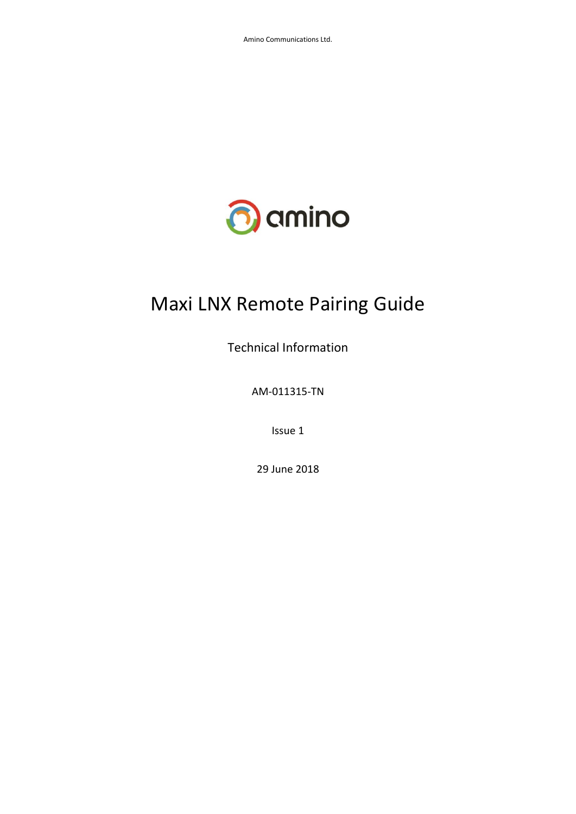

# Maxi LNX Remote Pairing Guide

Technical Information

AM-011315-TN

Issue 1

29 June 2018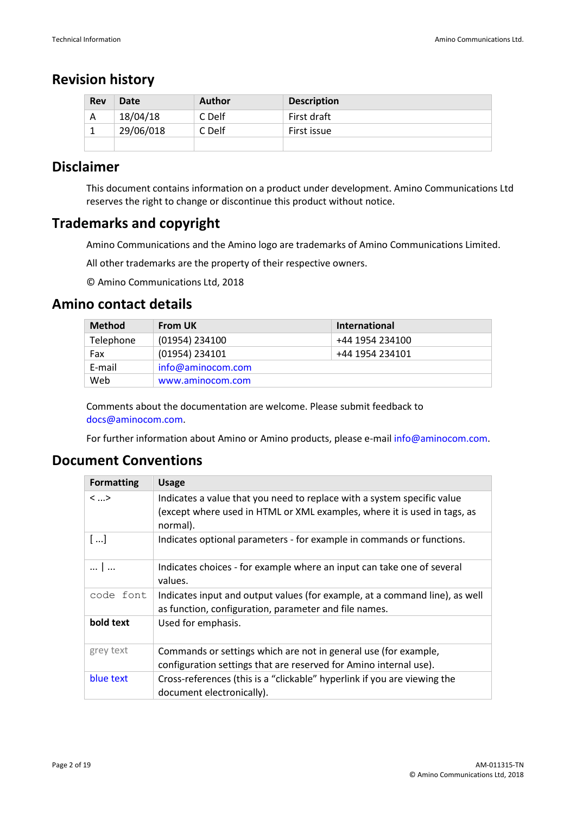# **Revision history**

| <b>Rev</b> | Date      | Author | <b>Description</b> |
|------------|-----------|--------|--------------------|
| А          | 18/04/18  | C Delf | First draft        |
|            | 29/06/018 | C Delf | First issue        |
|            |           |        |                    |

# **Disclaimer**

This document contains information on a product under development. Amino Communications Ltd reserves the right to change or discontinue this product without notice.

# **Trademarks and copyright**

Amino Communications and the Amino logo are trademarks of Amino Communications Limited.

All other trademarks are the property of their respective owners.

© Amino Communications Ltd, 2018

# **Amino contact details**

| <b>Method</b> | <b>From UK</b>    | International   |  |  |  |
|---------------|-------------------|-----------------|--|--|--|
| Telephone     | (01954) 234100    | +44 1954 234100 |  |  |  |
| Fax           | (01954) 234101    | +44 1954 234101 |  |  |  |
| E-mail        | info@aminocom.com |                 |  |  |  |
| Web           | www.aminocom.com  |                 |  |  |  |

Comments about the documentation are welcome. Please submit feedback to [docs@aminocom.com.](mailto:docs@aminocom.com)

For further information about Amino or Amino products, please e-mail [info@aminocom.com.](mailto:info@aminocom.com)

# **Document Conventions**

| <b>Formatting</b>       | <b>Usage</b>                                                                                                                                                    |
|-------------------------|-----------------------------------------------------------------------------------------------------------------------------------------------------------------|
| $\langle \dots \rangle$ | Indicates a value that you need to replace with a system specific value<br>(except where used in HTML or XML examples, where it is used in tags, as<br>normal). |
| []                      | Indicates optional parameters - for example in commands or functions.                                                                                           |
| 1                       | Indicates choices - for example where an input can take one of several<br>values.                                                                               |
| code font               | Indicates input and output values (for example, at a command line), as well<br>as function, configuration, parameter and file names.                            |
| bold text               | Used for emphasis.                                                                                                                                              |
| grey text               | Commands or settings which are not in general use (for example,<br>configuration settings that are reserved for Amino internal use).                            |
| blue text               | Cross-references (this is a "clickable" hyperlink if you are viewing the<br>document electronically).                                                           |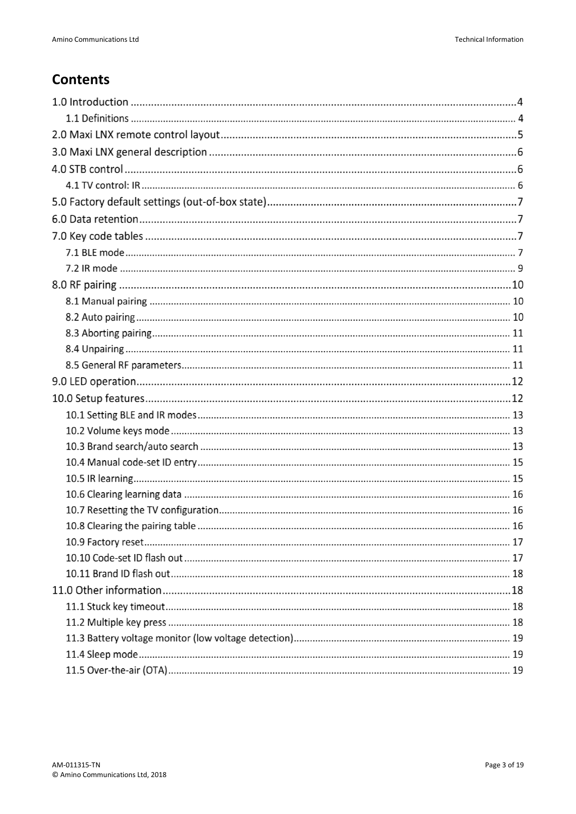# **Contents**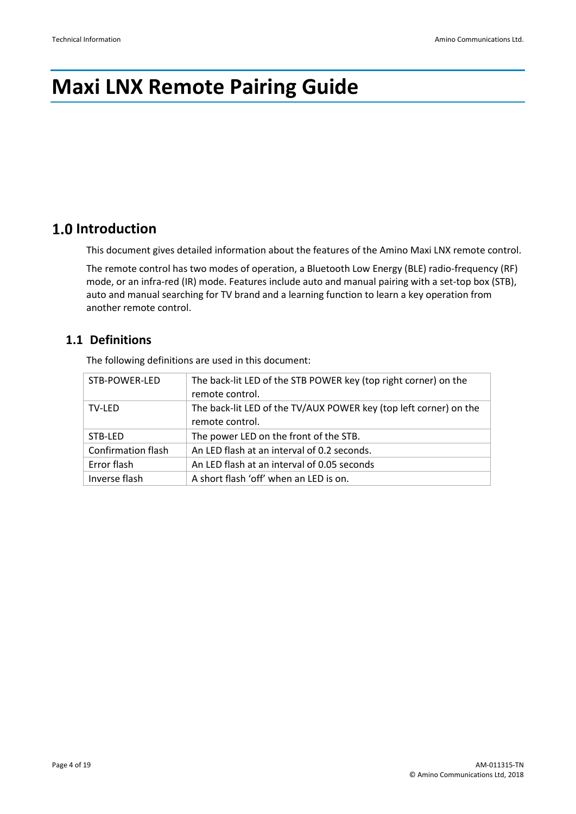# **Maxi LNX Remote Pairing Guide**

# **1.0 Introduction**

This document gives detailed information about the features of the Amino Maxi LNX remote control.

The remote control has two modes of operation, a Bluetooth Low Energy (BLE) radio-frequency (RF) mode, or an infra-red (IR) mode. Features include auto and manual pairing with a set-top box (STB), auto and manual searching for TV brand and a learning function to learn a key operation from another remote control.

# **1.1 Definitions**

The following definitions are used in this document:

| STB-POWER-LED             | The back-lit LED of the STB POWER key (top right corner) on the   |
|---------------------------|-------------------------------------------------------------------|
|                           | remote control.                                                   |
| TV-LED                    | The back-lit LED of the TV/AUX POWER key (top left corner) on the |
|                           | remote control.                                                   |
| STB-LED                   | The power LED on the front of the STB.                            |
| <b>Confirmation flash</b> | An LED flash at an interval of 0.2 seconds.                       |
| Error flash               | An LED flash at an interval of 0.05 seconds                       |
| Inverse flash             | A short flash 'off' when an LED is on.                            |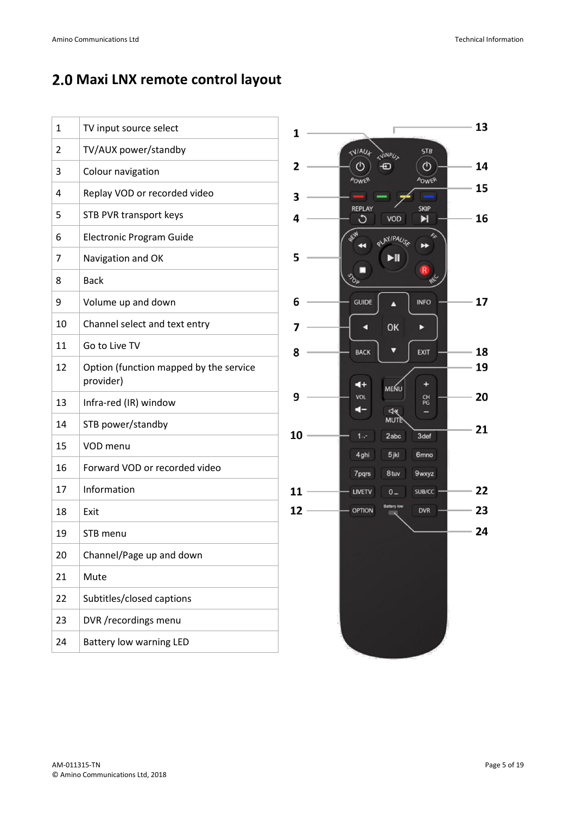# **Maxi LNX remote control layout**

| $\mathbf{1}$   | TV input source select                              | 13<br>1                                                         |
|----------------|-----------------------------------------------------|-----------------------------------------------------------------|
| $\overline{2}$ | TV/AUX power/standby                                | <b>STB</b><br><b>NAU+</b><br><b>JINPU</b>                       |
| 3              | Colour navigation                                   | $\circ$<br>14<br>$\overline{2}$<br><b>POWER</b><br><b>POWER</b> |
| 4              | Replay VOD or recorded video                        | 15<br>3                                                         |
| 5              | <b>STB PVR transport keys</b>                       | <b>REPLAY</b><br><b>SKIP</b><br>16<br>C<br>4<br>VOD<br>E        |
| 6              | Electronic Program Guide                            | <b>REA</b><br><b>PLAY/PAUSA</b><br>↣                            |
| 7              | Navigation and OK                                   | 5<br>Ы                                                          |
| 8              | <b>Back</b>                                         |                                                                 |
| 9              | Volume up and down                                  | 17<br>6<br><b>GUIDE</b><br><b>INFO</b>                          |
| 10             | Channel select and text entry                       | OK<br>7<br>E                                                    |
| 11             | Go to Live TV                                       | 18<br>EXIT<br>8<br><b>BACK</b>                                  |
| 12             | Option (function mapped by the service<br>provider) | 19<br>$\blacktriangleleft$ +<br>÷<br>MENU                       |
| 13             | Infra-red (IR) window                               | 20<br>9<br><b>VOL</b><br>없<br>4                                 |
| 14             | STB power/standby                                   | <b>MUTE</b><br>21                                               |
| 15             | VOD menu                                            | 10<br>3def<br>$1 -$<br>2abc<br>5jkl<br>4ghi<br>6 <sub>mno</sub> |
| 16             | Forward VOD or recorded video                       | 7pqrs<br>8 tuv<br><b>9wxyz</b>                                  |
| 17             | Information                                         | 22<br>11<br>LIVETV<br>SUB/CC<br>$0 -$                           |
| 18             | Exit                                                | <b>Battery low</b><br>23<br>12<br><b>OPTION</b><br><b>DVR</b>   |
| 19             | STB menu                                            | 24                                                              |
| 20             | Channel/Page up and down                            |                                                                 |
| 21             | Mute                                                |                                                                 |
| 22             | Subtitles/closed captions                           |                                                                 |
| 23             | DVR /recordings menu                                |                                                                 |
| 24             | <b>Battery low warning LED</b>                      |                                                                 |
|                |                                                     |                                                                 |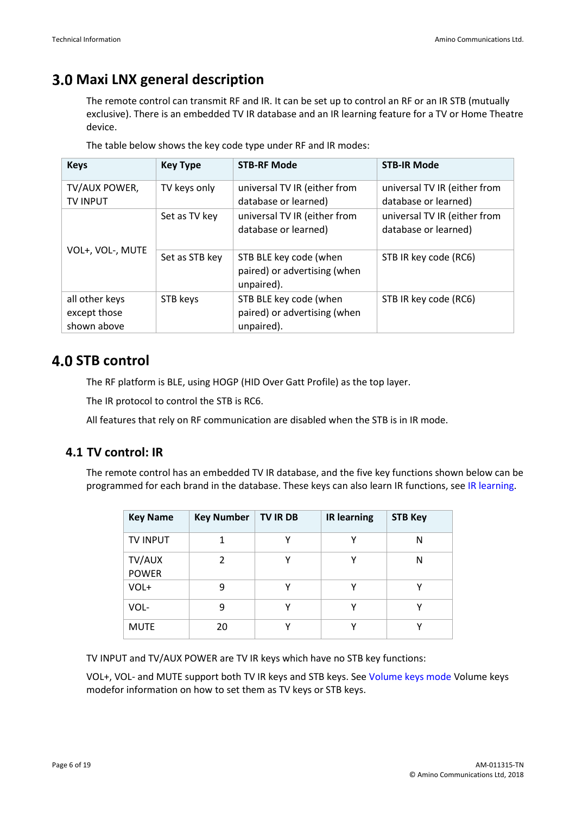# **Maxi LNX general description**

The remote control can transmit RF and IR. It can be set up to control an RF or an IR STB (mutually exclusive). There is an embedded TV IR database and an IR learning feature for a TV or Home Theatre device.

| <b>Keys</b>                                   | <b>Key Type</b> | <b>STB-RF Mode</b>                                                   | <b>STB-IR Mode</b>                                   |
|-----------------------------------------------|-----------------|----------------------------------------------------------------------|------------------------------------------------------|
| TV/AUX POWER,<br><b>TV INPUT</b>              | TV keys only    | universal TV IR (either from<br>database or learned)                 | universal TV IR (either from<br>database or learned) |
|                                               | Set as TV key   | universal TV IR (either from<br>database or learned)                 | universal TV IR (either from<br>database or learned) |
| VOL+, VOL-, MUTE                              | Set as STB key  | STB BLE key code (when<br>paired) or advertising (when<br>unpaired). | STB IR key code (RC6)                                |
| all other keys<br>except those<br>shown above | STB keys        | STB BLE key code (when<br>paired) or advertising (when<br>unpaired). | STB IR key code (RC6)                                |

The table below shows the key code type under RF and IR modes:

# **4.0 STB control**

The RF platform is BLE, using HOGP (HID Over Gatt Profile) as the top layer.

The IR protocol to control the STB is RC6.

All features that rely on RF communication are disabled when the STB is in IR mode.

# **4.1 TV control: IR**

The remote control has an embedded TV IR database, and the five key functions shown below can be programmed for each brand in the database. These keys can also learn IR functions, se[e IR learning.](#page-14-0)

| <b>Key Name</b>        | <b>Key Number</b> | <b>TV IR DB</b> | <b>IR learning</b> | <b>STB Key</b> |
|------------------------|-------------------|-----------------|--------------------|----------------|
| <b>TV INPUT</b>        |                   |                 | γ                  | N              |
| TV/AUX<br><b>POWER</b> | $\mathcal{P}$     | v               | v                  | N              |
| VOL+                   | 9                 |                 | v                  |                |
| VOL-                   | 9                 | v               | v                  |                |
| <b>MUTE</b>            | 20                | v               | ν                  |                |

TV INPUT and TV/AUX POWER are TV IR keys which have no STB key functions:

VOL+, VOL- and MUTE support both TV IR keys and STB keys. Se[e Volume keys mode](#page-12-0) [Volume keys](#page-12-0)  [modef](#page-12-0)or information on how to set them as TV keys or STB keys.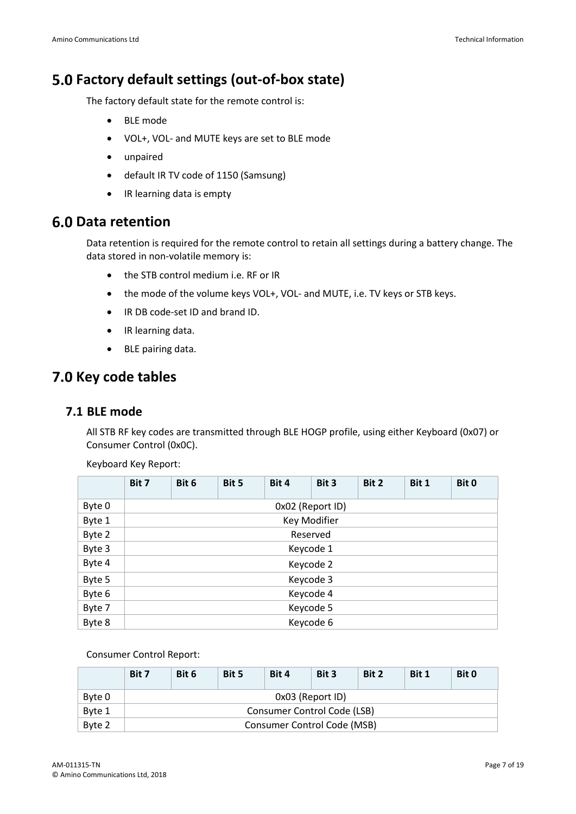# **Factory default settings (out-of-box state)**

The factory default state for the remote control is:

- BLE mode
- VOL+, VOL- and MUTE keys are set to BLE mode
- unpaired
- default IR TV code of 1150 (Samsung)
- IR learning data is empty

# **6.0 Data retention**

Data retention is required for the remote control to retain all settings during a battery change. The data stored in non-volatile memory is:

- the STB control medium i.e. RF or IR
- the mode of the volume keys VOL+, VOL- and MUTE, i.e. TV keys or STB keys.
- IR DB code-set ID and brand ID.
- IR learning data.
- BLE pairing data.

# **7.0 Key code tables**

### **7.1 BLE mode**

All STB RF key codes are transmitted through BLE HOGP profile, using either Keyboard (0x07) or Consumer Control (0x0C).

|        | Bit 7     | Bit 6     | Bit 5 | Bit 4            | Bit 3        | Bit 2 | Bit 1 | Bit 0 |
|--------|-----------|-----------|-------|------------------|--------------|-------|-------|-------|
| Byte 0 |           |           |       | OxO2 (Report ID) |              |       |       |       |
| Byte 1 |           |           |       |                  | Key Modifier |       |       |       |
| Byte 2 |           | Reserved  |       |                  |              |       |       |       |
| Byte 3 |           | Keycode 1 |       |                  |              |       |       |       |
| Byte 4 |           | Keycode 2 |       |                  |              |       |       |       |
| Byte 5 |           | Keycode 3 |       |                  |              |       |       |       |
| Byte 6 |           | Keycode 4 |       |                  |              |       |       |       |
| Byte 7 | Keycode 5 |           |       |                  |              |       |       |       |
| Byte 8 | Keycode 6 |           |       |                  |              |       |       |       |

Keyboard Key Report:

#### Consumer Control Report:

|        | Bit 7                       | Bit 6                       | Bit 5 | Bit 4 | Bit 3 | Bit 2 | Bit 1 | Bit 0 |
|--------|-----------------------------|-----------------------------|-------|-------|-------|-------|-------|-------|
| Byte 0 |                             | 0x03 (Report ID)            |       |       |       |       |       |       |
| Byte 1 |                             | Consumer Control Code (LSB) |       |       |       |       |       |       |
| Byte 2 | Consumer Control Code (MSB) |                             |       |       |       |       |       |       |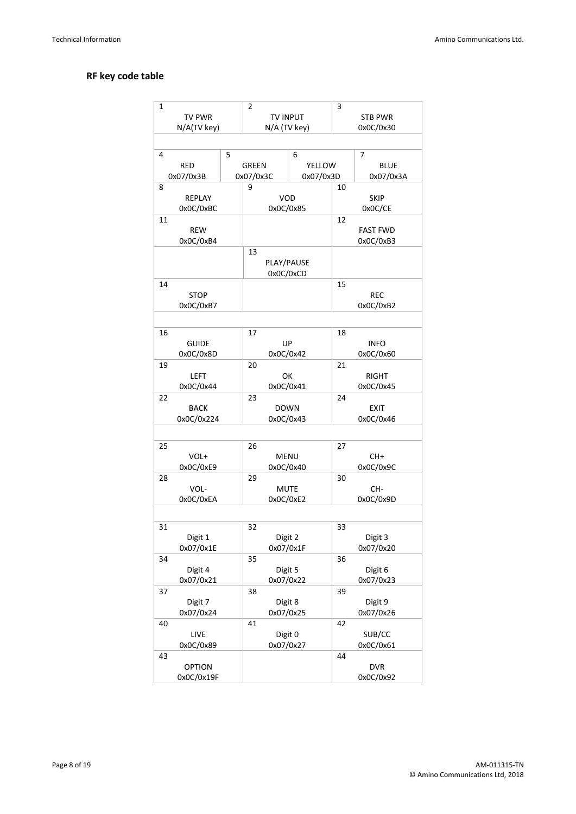#### **RF key code table**

| $\mathbf{1}$ |               |   | $\overline{2}$       |           | 3              |                 |
|--------------|---------------|---|----------------------|-----------|----------------|-----------------|
|              | TV PWR        |   | <b>TV INPUT</b>      |           | <b>STB PWR</b> |                 |
|              | N/A(TV key)   |   | N/A (TV key)         |           | 0x0C/0x30      |                 |
|              |               |   |                      |           |                |                 |
|              |               |   |                      |           |                |                 |
| 4            |               | 5 |                      | 6         |                | 7               |
|              | <b>RED</b>    |   | <b>GREEN</b>         | YELLOW    |                | <b>BLUE</b>     |
|              | 0x07/0x3B     |   | 0x07/0x3C            | 0x07/0x3D |                | 0x07/0x3A       |
| 8            |               |   | 9                    |           | 10             |                 |
|              | <b>REPLAY</b> |   | VOD                  |           |                | <b>SKIP</b>     |
|              | 0x0C/0xBC     |   | 0x0C/0x85            |           |                | 0x0C/CE         |
| 11           |               |   |                      |           | 12             |                 |
|              | REW           |   |                      |           |                | <b>FAST FWD</b> |
|              | 0x0C/0xB4     |   |                      |           |                | 0x0C/0xB3       |
|              |               |   | 13                   |           |                |                 |
|              |               |   | PLAY/PAUSE           |           |                |                 |
|              |               |   | 0x0C/0xCD            |           |                |                 |
| 14           |               |   |                      |           | 15             |                 |
|              | <b>STOP</b>   |   |                      |           |                | <b>REC</b>      |
|              | 0x0C/0xB7     |   |                      |           |                | 0x0C/0xB2       |
|              |               |   |                      |           |                |                 |
|              |               |   |                      |           |                |                 |
| 16           |               |   | 17                   |           | 18             |                 |
|              | <b>GUIDE</b>  |   | UP                   |           |                | <b>INFO</b>     |
|              | 0x0C/0x8D     |   | 0x0C/0x42            |           |                | 0x0C/0x60       |
| 19           |               |   | 20                   |           | 21             |                 |
|              | <b>LEFT</b>   |   | OK                   |           |                | RIGHT           |
|              | 0x0C/0x44     |   | 0x0C/0x41            |           |                | 0x0C/0x45       |
| 22           |               |   | 23                   |           | 24             |                 |
|              | <b>BACK</b>   |   | <b>DOWN</b>          |           |                | <b>EXIT</b>     |
|              | 0x0C/0x224    |   | 0x0C/0x43            |           |                | 0x0C/0x46       |
|              |               |   |                      |           |                |                 |
| 25           |               |   | 26                   |           | 27             |                 |
|              | VOL+          |   | <b>MENU</b>          |           |                | CH+             |
|              | 0x0C/0xE9     |   | 0x0C/0x40            |           |                | 0x0C/0x9C       |
|              |               |   |                      |           |                |                 |
| 28           |               |   | 29                   |           | 30             |                 |
|              | VOL-          |   | MUTE                 |           |                | CH-             |
|              | 0x0C/0xEA     |   | 0x0C/0xE2            |           |                | 0x0C/0x9D       |
|              |               |   |                      |           |                |                 |
| 31           |               |   | 32                   |           | 33             |                 |
|              | Digit 1       |   | Digit 2              |           |                | Digit 3         |
|              | 0x07/0x1E     |   | 0x07/0x1F            |           |                | 0x07/0x20       |
| 34           |               |   | 35                   |           | 36             |                 |
|              | Digit 4       |   |                      |           |                | Digit 6         |
|              | 0x07/0x21     |   | Digit 5<br>0x07/0x22 |           |                | 0x07/0x23       |
| 37           |               |   | 38                   |           | 39             |                 |
|              | Digit 7       |   | Digit 8              |           |                | Digit 9         |
|              | 0x07/0x24     |   | 0x07/0x25            |           |                | 0x07/0x26       |
| 40           |               |   | 41                   |           | 42             |                 |
|              | LIVE          |   | Digit 0              |           |                | SUB/CC          |
|              | 0x0C/0x89     |   | 0x07/0x27            |           |                | 0x0C/0x61       |
| 43           |               |   |                      |           | 44             |                 |
|              | <b>OPTION</b> |   |                      |           |                | <b>DVR</b>      |
|              | 0x0C/0x19F    |   |                      |           |                | 0x0C/0x92       |
|              |               |   |                      |           |                |                 |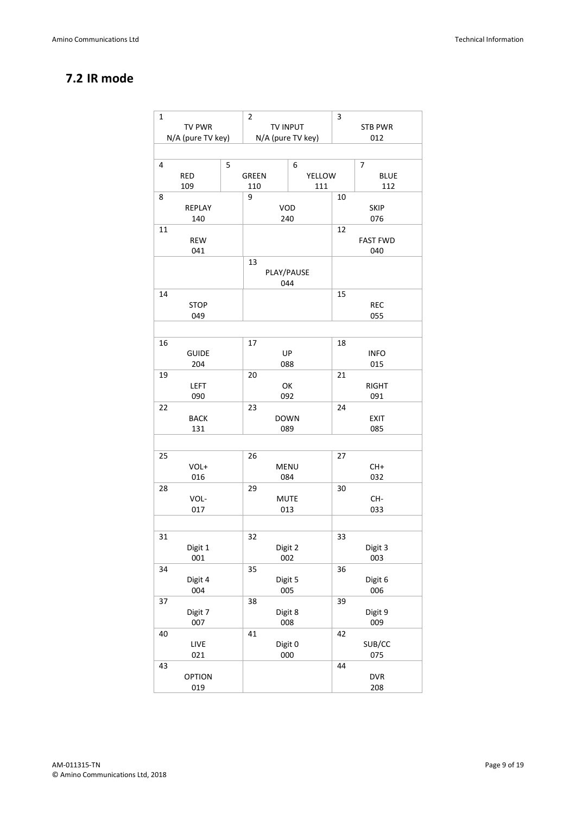# **7.2 IR mode**

| 1                 | $\overline{2}$ | 3                 |                 |
|-------------------|----------------|-------------------|-----------------|
| <b>TV PWR</b>     |                | TV INPUT          | <b>STB PWR</b>  |
| N/A (pure TV key) |                | N/A (pure TV key) | 012             |
|                   |                |                   |                 |
| 4                 | 5              | 6                 | 7               |
| RED               | <b>GREEN</b>   | YELLOW            | <b>BLUE</b>     |
|                   |                |                   |                 |
| 109               | 110            | 111               | 112             |
| 8                 | 9              | 10                |                 |
| REPLAY            |                | VOD               | <b>SKIP</b>     |
| 140               |                | 240               | 076             |
| 11                |                | 12                |                 |
| <b>REW</b>        |                |                   | <b>FAST FWD</b> |
| 041               |                |                   | 040             |
|                   | 13             |                   |                 |
|                   |                | PLAY/PAUSE        |                 |
|                   |                | 044               |                 |
| 14                |                | 15                |                 |
| <b>STOP</b>       |                |                   | <b>REC</b>      |
| 049               |                |                   | 055             |
|                   |                |                   |                 |
| 16                | 17             | 18                |                 |
| <b>GUIDE</b>      |                | UP                | <b>INFO</b>     |
|                   |                |                   |                 |
| 204               |                | 088               | 015             |
| 19                | 20             | 21                |                 |
| <b>LEFT</b>       |                | OK                | <b>RIGHT</b>    |
| 090               |                | 092               | 091             |
| 22                | 23             | 24                |                 |
| <b>BACK</b>       |                | <b>DOWN</b>       | <b>EXIT</b>     |
| 131               |                | 089               | 085             |
|                   |                |                   |                 |
| 25                | 26             | 27                |                 |
| VOL+              |                | <b>MENU</b>       | CH+             |
| 016               |                | 084               | 032             |
|                   |                |                   |                 |
| 28                | 29             | 30                |                 |
| VOL-              |                | <b>MUTE</b>       | CH-             |
| 017               |                | 013               | 033             |
|                   |                |                   |                 |
| 31                | 32             | 33                |                 |
| Digit 1           |                | Digit 2           | Digit 3         |
| 001               |                | 002               | 003             |
| 34                | 35             | 36                |                 |
| Digit 4           |                | Digit 5           | Digit 6         |
| 004               |                | 005               | 006             |
|                   |                |                   |                 |
| 37                | 38             | 39                |                 |
| Digit 7           |                | Digit 8           | Digit 9         |
| 007               |                | 008               | 009             |
| 40                | 41             | 42                |                 |
| LIVE              |                | Digit 0           | SUB/CC          |
| 021               |                | 000               | 075             |
| 43                |                | 44                |                 |
| <b>OPTION</b>     |                |                   | <b>DVR</b>      |
| 019               |                |                   | 208             |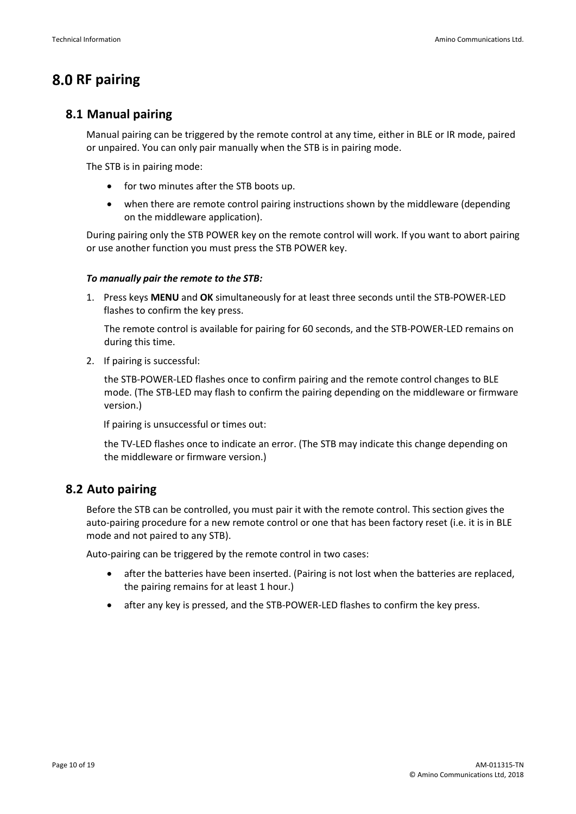# **8.0 RF pairing**

### **8.1 Manual pairing**

Manual pairing can be triggered by the remote control at any time, either in BLE or IR mode, paired or unpaired. You can only pair manually when the STB is in pairing mode.

The STB is in pairing mode:

- for two minutes after the STB boots up.
- when there are remote control pairing instructions shown by the middleware (depending on the middleware application).

During pairing only the STB POWER key on the remote control will work. If you want to abort pairing or use another function you must press the STB POWER key.

#### *To manually pair the remote to the STB:*

1. Press keys **MENU** and **OK** simultaneously for at least three seconds until the STB-POWER-LED flashes to confirm the key press.

The remote control is available for pairing for 60 seconds, and the STB-POWER-LED remains on during this time.

2. If pairing is successful:

the STB-POWER-LED flashes once to confirm pairing and the remote control changes to BLE mode. (The STB-LED may flash to confirm the pairing depending on the middleware or firmware version.)

If pairing is unsuccessful or times out:

the TV-LED flashes once to indicate an error. (The STB may indicate this change depending on the middleware or firmware version.)

### **8.2 Auto pairing**

Before the STB can be controlled, you must pair it with the remote control. This section gives the auto-pairing procedure for a new remote control or one that has been factory reset (i.e. it is in BLE mode and not paired to any STB).

Auto-pairing can be triggered by the remote control in two cases:

- after the batteries have been inserted. (Pairing is not lost when the batteries are replaced, the pairing remains for at least 1 hour.)
- after any key is pressed, and the STB-POWER-LED flashes to confirm the key press.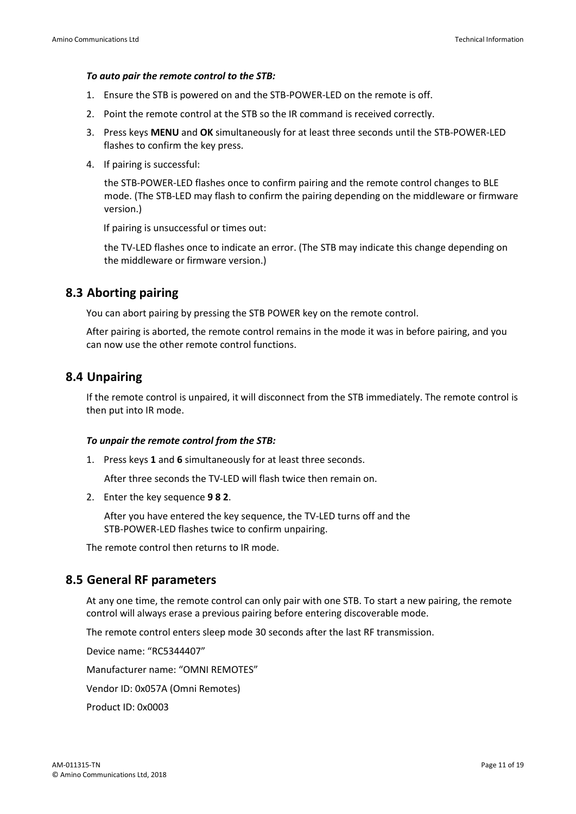#### *To auto pair the remote control to the STB:*

- 1. Ensure the STB is powered on and the STB-POWER-LED on the remote is off.
- 2. Point the remote control at the STB so the IR command is received correctly.
- 3. Press keys **MENU** and **OK** simultaneously for at least three seconds until the STB-POWER-LED flashes to confirm the key press.
- 4. If pairing is successful:

the STB-POWER-LED flashes once to confirm pairing and the remote control changes to BLE mode. (The STB-LED may flash to confirm the pairing depending on the middleware or firmware version.)

If pairing is unsuccessful or times out:

the TV-LED flashes once to indicate an error. (The STB may indicate this change depending on the middleware or firmware version.)

### **8.3 Aborting pairing**

You can abort pairing by pressing the STB POWER key on the remote control.

After pairing is aborted, the remote control remains in the mode it was in before pairing, and you can now use the other remote control functions.

### **8.4 Unpairing**

If the remote control is unpaired, it will disconnect from the STB immediately. The remote control is then put into IR mode.

#### *To unpair the remote control from the STB:*

1. Press keys **1** and **6** simultaneously for at least three seconds.

After three seconds the TV-LED will flash twice then remain on.

2. Enter the key sequence **9 8 2**.

After you have entered the key sequence, the TV-LED turns off and the STB-POWER-LED flashes twice to confirm unpairing.

The remote control then returns to IR mode.

### **8.5 General RF parameters**

At any one time, the remote control can only pair with one STB. To start a new pairing, the remote control will always erase a previous pairing before entering discoverable mode.

The remote control enters sleep mode 30 seconds after the last RF transmission.

Device name: "RC5344407"

Manufacturer name: "OMNI REMOTES"

Vendor ID: 0x057A (Omni Remotes)

Product ID: 0x0003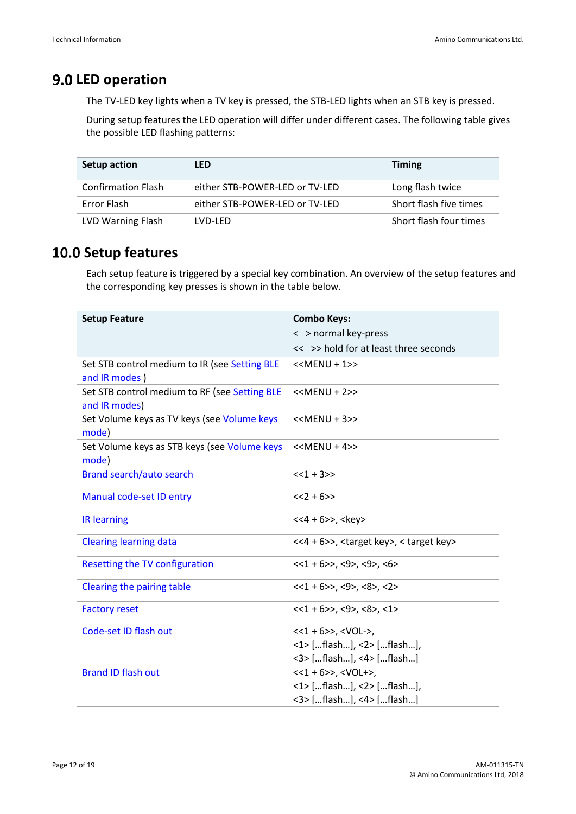# **9.0 LED operation**

The TV-LED key lights when a TV key is pressed, the STB-LED lights when an STB key is pressed.

During setup features the LED operation will differ under different cases. The following table gives the possible LED flashing patterns:

| Setup action              | <b>LED</b>                     | <b>Timing</b>          |
|---------------------------|--------------------------------|------------------------|
| <b>Confirmation Flash</b> | either STB-POWER-LED or TV-LED | Long flash twice       |
| Error Flash               | either STB-POWER-LED or TV-LED | Short flash five times |
| LVD Warning Flash         | LVD-LFD                        | Short flash four times |

# **10.0 Setup features**

Each setup feature is triggered by a special key combination. An overview of the setup features and the corresponding key presses is shown in the table below.

| <b>Setup Feature</b>                                           | <b>Combo Keys:</b>                                       |  |  |  |  |
|----------------------------------------------------------------|----------------------------------------------------------|--|--|--|--|
|                                                                | < > normal key-press                                     |  |  |  |  |
|                                                                | << >> hold for at least three seconds                    |  |  |  |  |
| Set STB control medium to IR (see Setting BLE                  | $<<$ MENU + 1>>                                          |  |  |  |  |
| and IR modes)                                                  |                                                          |  |  |  |  |
| Set STB control medium to RF (see Setting BLE<br>and IR modes) | $<>$                                                     |  |  |  |  |
| Set Volume keys as TV keys (see Volume keys<br>mode)           | $<>$                                                     |  |  |  |  |
| Set Volume keys as STB keys (see Volume keys                   | $<>$                                                     |  |  |  |  |
| mode)                                                          |                                                          |  |  |  |  |
| Brand search/auto search                                       | $<<1 + 3>>$                                              |  |  |  |  |
| Manual code-set ID entry                                       | $<<2 + 6>>$                                              |  |  |  |  |
| <b>IR learning</b>                                             | $<<4 + 6>>$ , $<$ key>                                   |  |  |  |  |
| <b>Clearing learning data</b>                                  | <<4 + 6>>, <target key="">, &lt; target key&gt;</target> |  |  |  |  |
| Resetting the TV configuration                                 | $<<1 + 6>>$ , <9>, <9>, <6>                              |  |  |  |  |
| Clearing the pairing table                                     | $<<1 + 6>>$ , <9>, <8>, <2>                              |  |  |  |  |
| <b>Factory reset</b>                                           | $<<1 + 6>>, <9> , <8> , <1>$                             |  |  |  |  |
| Code-set ID flash out                                          | $<<1 + 6>>$ , $<$ VOL->,                                 |  |  |  |  |
|                                                                | <1> [flash], <2> [flash],                                |  |  |  |  |
|                                                                | <3> [flash], <4> [flash]                                 |  |  |  |  |
| <b>Brand ID flash out</b>                                      | $<<1 + 6>>$ , $<$ VOL+>,                                 |  |  |  |  |
|                                                                | <1> [flash], <2> [flash],                                |  |  |  |  |
|                                                                | <3> [flash], <4> [flash]                                 |  |  |  |  |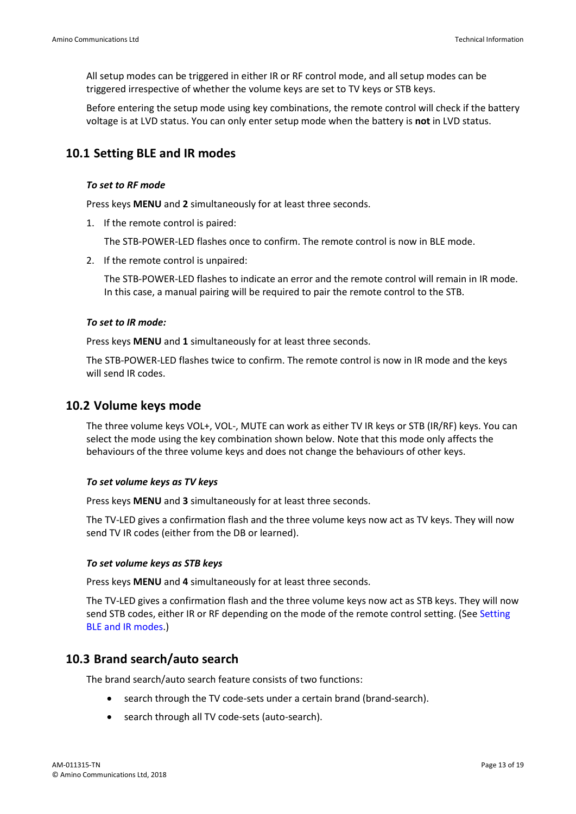All setup modes can be triggered in either IR or RF control mode, and all setup modes can be triggered irrespective of whether the volume keys are set to TV keys or STB keys.

Before entering the setup mode using key combinations, the remote control will check if the battery voltage is at LVD status. You can only enter setup mode when the battery is **not** in LVD status.

### <span id="page-12-1"></span>**10.1 Setting BLE and IR modes**

#### *To set to RF mode*

Press keys **MENU** and **2** simultaneously for at least three seconds.

1. If the remote control is paired:

The STB-POWER-LED flashes once to confirm. The remote control is now in BLE mode.

2. If the remote control is unpaired:

The STB-POWER-LED flashes to indicate an error and the remote control will remain in IR mode. In this case, a manual pairing will be required to pair the remote control to the STB.

#### *To set to IR mode:*

Press keys **MENU** and **1** simultaneously for at least three seconds.

The STB-POWER-LED flashes twice to confirm. The remote control is now in IR mode and the keys will send IR codes.

### <span id="page-12-0"></span>**10.2 Volume keys mode**

The three volume keys VOL+, VOL-, MUTE can work as either TV IR keys or STB (IR/RF) keys. You can select the mode using the key combination shown below. Note that this mode only affects the behaviours of the three volume keys and does not change the behaviours of other keys.

#### *To set volume keys as TV keys*

Press keys **MENU** and **3** simultaneously for at least three seconds.

The TV-LED gives a confirmation flash and the three volume keys now act as TV keys. They will now send TV IR codes (either from the DB or learned).

#### *To set volume keys as STB keys*

Press keys **MENU** and **4** simultaneously for at least three seconds.

The TV-LED gives a confirmation flash and the three volume keys now act as STB keys. They will now send STB codes, either IR or RF depending on the mode of the remote control setting. (See [Setting](#page-12-1)  [BLE and IR modes.](#page-12-1))

### <span id="page-12-2"></span>**10.3 Brand search/auto search**

The brand search/auto search feature consists of two functions:

- search through the TV code-sets under a certain brand (brand-search).
- search through all TV code-sets (auto-search).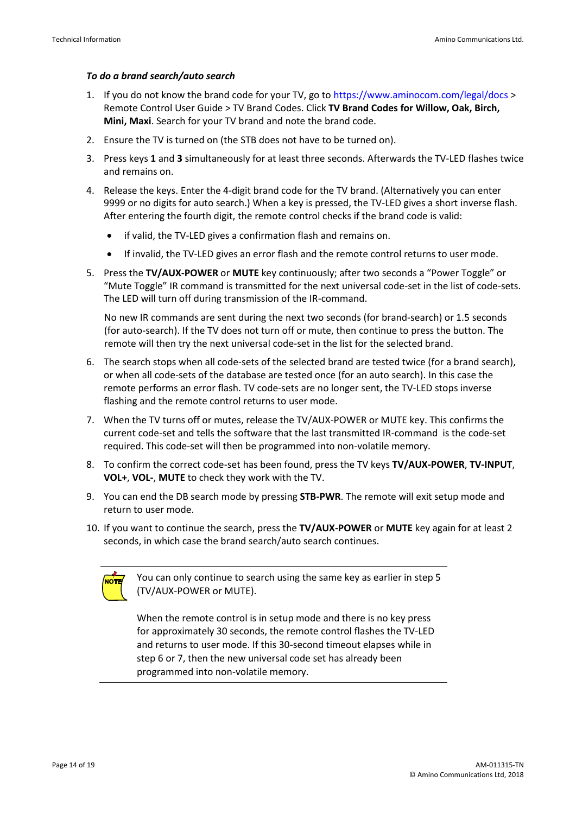#### *To do a brand search/auto search*

- 1. If you do not know the brand code for your TV, go to<https://www.aminocom.com/legal/docs> > Remote Control User Guide > TV Brand Codes. Click **TV Brand Codes for Willow, Oak, Birch, Mini, Maxi**. Search for your TV brand and note the brand code.
- 2. Ensure the TV is turned on (the STB does not have to be turned on).
- 3. Press keys **1** and **3** simultaneously for at least three seconds. Afterwards the TV-LED flashes twice and remains on.
- 4. Release the keys. Enter the 4-digit brand code for the TV brand. (Alternatively you can enter 9999 or no digits for auto search.) When a key is pressed, the TV-LED gives a short inverse flash. After entering the fourth digit, the remote control checks if the brand code is valid:
	- if valid, the TV-LED gives a confirmation flash and remains on.
	- If invalid, the TV-LED gives an error flash and the remote control returns to user mode.
- 5. Press the **TV/AUX-POWER** or **MUTE** key continuously; after two seconds a "Power Toggle" or "Mute Toggle" IR command is transmitted for the next universal code-set in the list of code-sets. The LED will turn off during transmission of the IR-command.

No new IR commands are sent during the next two seconds (for brand-search) or 1.5 seconds (for auto-search). If the TV does not turn off or mute, then continue to press the button. The remote will then try the next universal code-set in the list for the selected brand.

- 6. The search stops when all code-sets of the selected brand are tested twice (for a brand search), or when all code-sets of the database are tested once (for an auto search). In this case the remote performs an error flash. TV code-sets are no longer sent, the TV-LED stops inverse flashing and the remote control returns to user mode.
- 7. When the TV turns off or mutes, release the TV/AUX-POWER or MUTE key. This confirms the current code-set and tells the software that the last transmitted IR-command is the code-set required. This code-set will then be programmed into non-volatile memory.
- 8. To confirm the correct code-set has been found, press the TV keys **TV/AUX-POWER**, **TV-INPUT**, **VOL+**, **VOL-**, **MUTE** to check they work with the TV.
- 9. You can end the DB search mode by pressing **STB-PWR**. The remote will exit setup mode and return to user mode.
- 10. If you want to continue the search, press the **TV/AUX-POWER** or **MUTE** key again for at least 2 seconds, in which case the brand search/auto search continues.



You can only continue to search using the same key as earlier in step 5 (TV/AUX-POWER or MUTE).

When the remote control is in setup mode and there is no key press for approximately 30 seconds, the remote control flashes the TV-LED and returns to user mode. If this 30-second timeout elapses while in step 6 or 7, then the new universal code set has already been programmed into non-volatile memory.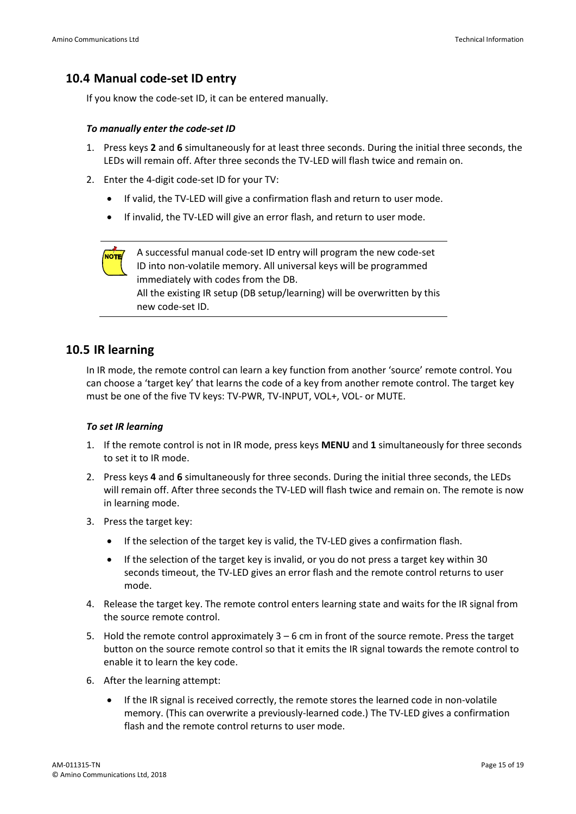### <span id="page-14-1"></span>**10.4 Manual code-set ID entry**

If you know the code-set ID, it can be entered manually.

#### *To manually enter the code-set ID*

- 1. Press keys **2** and **6** simultaneously for at least three seconds. During the initial three seconds, the LEDs will remain off. After three seconds the TV-LED will flash twice and remain on.
- 2. Enter the 4-digit code-set ID for your TV:
	- If valid, the TV-LED will give a confirmation flash and return to user mode.
	- If invalid, the TV-LED will give an error flash, and return to user mode.

A successful manual code-set ID entry will program the new code-set NOTE/ ID into non-volatile memory. All universal keys will be programmed immediately with codes from the DB. All the existing IR setup (DB setup/learning) will be overwritten by this new code-set ID.

#### <span id="page-14-0"></span>**10.5 IR learning**

In IR mode, the remote control can learn a key function from another 'source' remote control. You can choose a 'target key' that learns the code of a key from another remote control. The target key must be one of the five TV keys: TV-PWR, TV-INPUT, VOL+, VOL- or MUTE.

#### *To set IR learning*

- 1. If the remote control is not in IR mode, press keys **MENU** and **1** simultaneously for three seconds to set it to IR mode.
- 2. Press keys **4** and **6** simultaneously for three seconds. During the initial three seconds, the LEDs will remain off. After three seconds the TV-LED will flash twice and remain on. The remote is now in learning mode.
- 3. Press the target key:
	- If the selection of the target key is valid, the TV-LED gives a confirmation flash.
	- If the selection of the target key is invalid, or you do not press a target key within 30 seconds timeout, the TV-LED gives an error flash and the remote control returns to user mode.
- 4. Release the target key. The remote control enters learning state and waits for the IR signal from the source remote control.
- 5. Hold the remote control approximately 3 6 cm in front of the source remote. Press the target button on the source remote control so that it emits the IR signal towards the remote control to enable it to learn the key code.
- 6. After the learning attempt:
	- If the IR signal is received correctly, the remote stores the learned code in non-volatile memory. (This can overwrite a previously-learned code.) The TV-LED gives a confirmation flash and the remote control returns to user mode.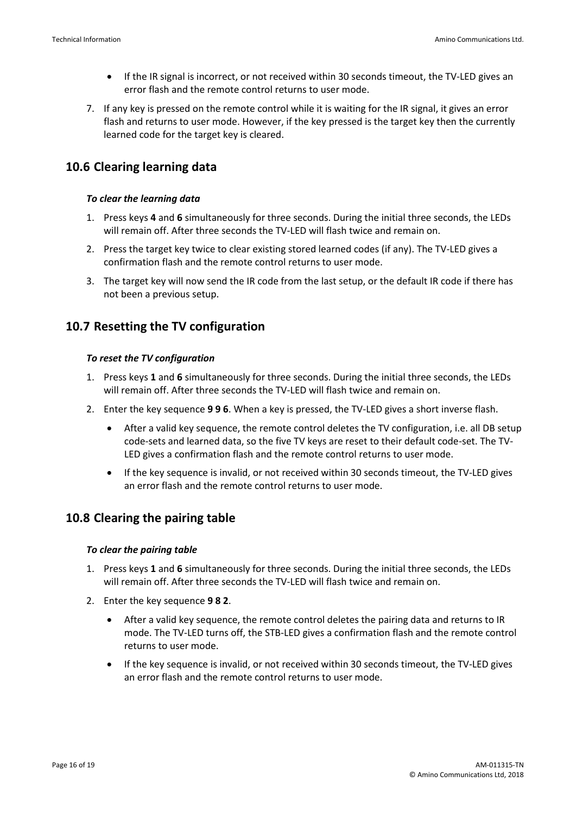- If the IR signal is incorrect, or not received within 30 seconds timeout, the TV-LED gives an error flash and the remote control returns to user mode.
- 7. If any key is pressed on the remote control while it is waiting for the IR signal, it gives an error flash and returns to user mode. However, if the key pressed is the target key then the currently learned code for the target key is cleared.

# <span id="page-15-0"></span>**10.6 Clearing learning data**

#### *To clear the learning data*

- 1. Press keys **4** and **6** simultaneously for three seconds. During the initial three seconds, the LEDs will remain off. After three seconds the TV-LED will flash twice and remain on.
- 2. Press the target key twice to clear existing stored learned codes (if any). The TV-LED gives a confirmation flash and the remote control returns to user mode.
- 3. The target key will now send the IR code from the last setup, or the default IR code if there has not been a previous setup.

# <span id="page-15-1"></span>**10.7 Resetting the TV configuration**

#### *To reset the TV configuration*

- 1. Press keys **1** and **6** simultaneously for three seconds. During the initial three seconds, the LEDs will remain off. After three seconds the TV-LED will flash twice and remain on.
- 2. Enter the key sequence **9 9 6**. When a key is pressed, the TV-LED gives a short inverse flash.
	- After a valid key sequence, the remote control deletes the TV configuration, i.e. all DB setup code-sets and learned data, so the five TV keys are reset to their default code-set. The TV-LED gives a confirmation flash and the remote control returns to user mode.
	- If the key sequence is invalid, or not received within 30 seconds timeout, the TV-LED gives an error flash and the remote control returns to user mode.

# <span id="page-15-2"></span>**10.8 Clearing the pairing table**

#### *To clear the pairing table*

- 1. Press keys **1** and **6** simultaneously for three seconds. During the initial three seconds, the LEDs will remain off. After three seconds the TV-LED will flash twice and remain on.
- 2. Enter the key sequence **9 8 2**.
	- After a valid key sequence, the remote control deletes the pairing data and returns to IR mode. The TV-LED turns off, the STB-LED gives a confirmation flash and the remote control returns to user mode.
	- If the key sequence is invalid, or not received within 30 seconds timeout, the TV-LED gives an error flash and the remote control returns to user mode.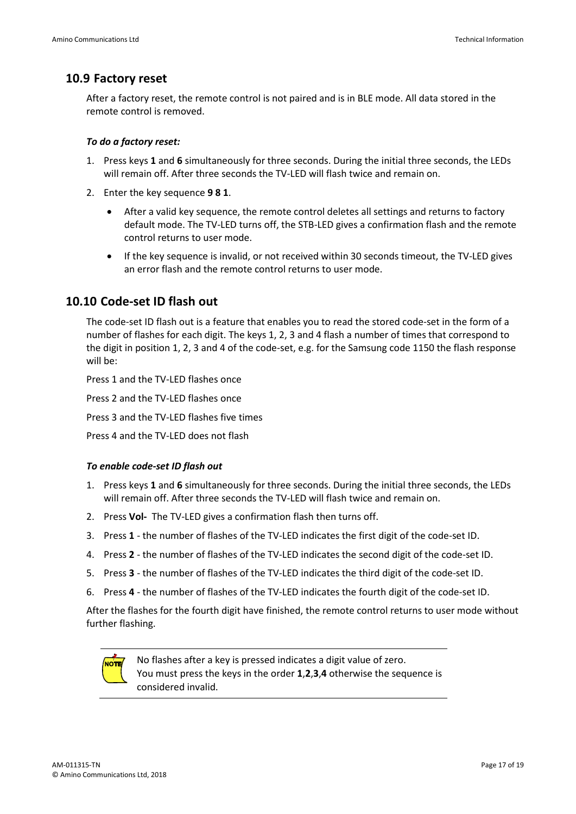### <span id="page-16-0"></span>**10.9 Factory reset**

After a factory reset, the remote control is not paired and is in BLE mode. All data stored in the remote control is removed.

#### *To do a factory reset:*

- 1. Press keys **1** and **6** simultaneously for three seconds. During the initial three seconds, the LEDs will remain off. After three seconds the TV-LED will flash twice and remain on.
- 2. Enter the key sequence **9 8 1**.
	- After a valid key sequence, the remote control deletes all settings and returns to factory default mode. The TV-LED turns off, the STB-LED gives a confirmation flash and the remote control returns to user mode.
	- If the key sequence is invalid, or not received within 30 seconds timeout, the TV-LED gives an error flash and the remote control returns to user mode.

### <span id="page-16-1"></span>**10.10 Code-set ID flash out**

The code-set ID flash out is a feature that enables you to read the stored code-set in the form of a number of flashes for each digit. The keys 1, 2, 3 and 4 flash a number of times that correspond to the digit in position 1, 2, 3 and 4 of the code-set, e.g. for the Samsung code 1150 the flash response will be:

Press 1 and the TV-LED flashes once Press 2 and the TV-LED flashes once Press 3 and the TV-LED flashes five times Press 4 and the TV-LED does not flash

#### *To enable code-set ID flash out*

- 1. Press keys **1** and **6** simultaneously for three seconds. During the initial three seconds, the LEDs will remain off. After three seconds the TV-LED will flash twice and remain on.
- 2. Press **Vol-** The TV-LED gives a confirmation flash then turns off.
- 3. Press **1** the number of flashes of the TV-LED indicates the first digit of the code-set ID.
- 4. Press **2** the number of flashes of the TV-LED indicates the second digit of the code-set ID.
- 5. Press **3** the number of flashes of the TV-LED indicates the third digit of the code-set ID.
- 6. Press **4** the number of flashes of the TV-LED indicates the fourth digit of the code-set ID.

After the flashes for the fourth digit have finished, the remote control returns to user mode without further flashing.

<span id="page-16-2"></span>

No flashes after a key is pressed indicates a digit value of zero. You must press the keys in the order **1**,**2**,**3**,**4** otherwise the sequence is considered invalid.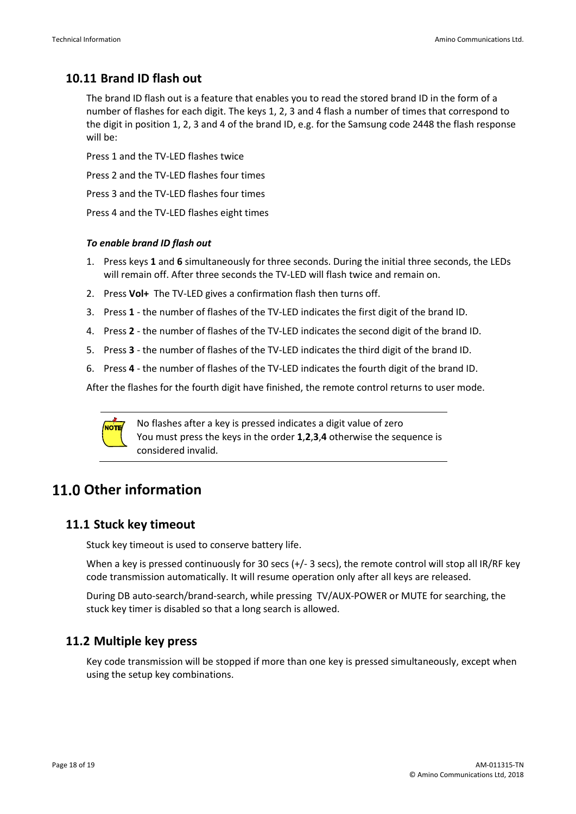# **10.11 Brand ID flash out**

The brand ID flash out is a feature that enables you to read the stored brand ID in the form of a number of flashes for each digit. The keys 1, 2, 3 and 4 flash a number of times that correspond to the digit in position 1, 2, 3 and 4 of the brand ID, e.g. for the Samsung code 2448 the flash response will be:

Press 1 and the TV-LED flashes twice

Press 2 and the TV-LED flashes four times

Press 3 and the TV-LED flashes four times

Press 4 and the TV-LED flashes eight times

#### *To enable brand ID flash out*

- 1. Press keys **1** and **6** simultaneously for three seconds. During the initial three seconds, the LEDs will remain off. After three seconds the TV-LED will flash twice and remain on.
- 2. Press **Vol+** The TV-LED gives a confirmation flash then turns off.
- 3. Press **1** the number of flashes of the TV-LED indicates the first digit of the brand ID.
- 4. Press **2** the number of flashes of the TV-LED indicates the second digit of the brand ID.
- 5. Press **3** the number of flashes of the TV-LED indicates the third digit of the brand ID.
- 6. Press **4** the number of flashes of the TV-LED indicates the fourth digit of the brand ID.

After the flashes for the fourth digit have finished, the remote control returns to user mode.



No flashes after a key is pressed indicates a digit value of zero You must press the keys in the order **1**,**2**,**3**,**4** otherwise the sequence is considered invalid.

# **Other information**

### **11.1 Stuck key timeout**

Stuck key timeout is used to conserve battery life.

When a key is pressed continuously for 30 secs (+/- 3 secs), the remote control will stop all IR/RF key code transmission automatically. It will resume operation only after all keys are released.

During DB auto-search/brand-search, while pressing TV/AUX-POWER or MUTE for searching, the stuck key timer is disabled so that a long search is allowed.

### **11.2 Multiple key press**

Key code transmission will be stopped if more than one key is pressed simultaneously, except when using the setup key combinations.